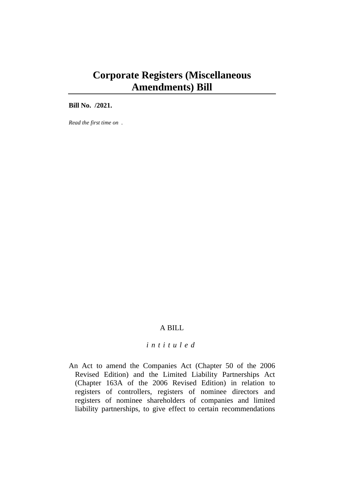# **Corporate Registers (Miscellaneous Amendments) Bill**

**Bill No. /2021.**

*Read the first time on .*

# A BILL

# *i n t i t u l e d*

An Act to amend the Companies Act (Chapter 50 of the 2006 Revised Edition) and the Limited Liability Partnerships Act (Chapter 163A of the 2006 Revised Edition) in relation to registers of controllers, registers of nominee directors and registers of nominee shareholders of companies and limited liability partnerships, to give effect to certain recommendations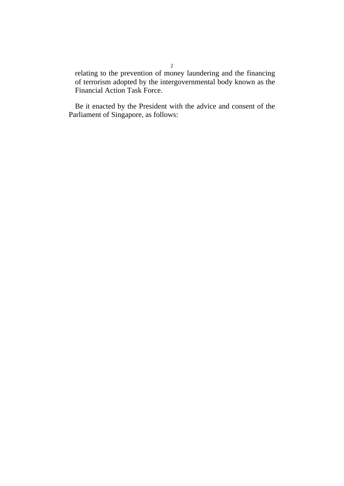relating to the prevention of money laundering and the financing of terrorism adopted by the intergovernmental body known as the Financial Action Task Force.

Be it enacted by the President with the advice and consent of the Parliament of Singapore, as follows: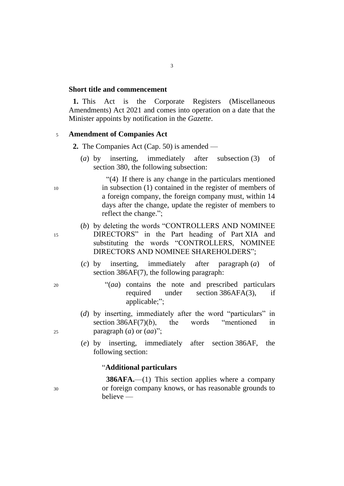#### **Short title and commencement**

**1.** This Act is the Corporate Registers (Miscellaneous Amendments) Act 2021 and comes into operation on a date that the Minister appoints by notification in the *Gazette*.

#### <sup>5</sup> **Amendment of Companies Act**

- **2.** The Companies Act (Cap. 50) is amended
	- (*a*) by inserting, immediately after subsection (3) of section 380, the following subsection:

"(4) If there is any change in the particulars mentioned <sup>10</sup> in subsection (1) contained in the register of members of a foreign company, the foreign company must, within 14 days after the change, update the register of members to reflect the change.";

- (*b*) by deleting the words "CONTROLLERS AND NOMINEE <sup>15</sup> DIRECTORS" in the Part heading of Part XIA and substituting the words "CONTROLLERS, NOMINEE DIRECTORS AND NOMINEE SHAREHOLDERS";
	- (*c*) by inserting, immediately after paragraph (*a*) of section 386AF(7), the following paragraph:
- <sup>20</sup> "(*aa*) contains the note and prescribed particulars required under section 386AFA(3), if applicable;";
- (*d*) by inserting, immediately after the word "particulars" in section 386AF(7)(*b*), the words "mentioned in <sup>25</sup> paragraph (*a*) or (*aa*)";
	- (*e*) by inserting, immediately after section 386AF, the following section:

#### "**Additional particulars**

**386AFA.**—(1) This section applies where a company <sup>30</sup> or foreign company knows, or has reasonable grounds to believe —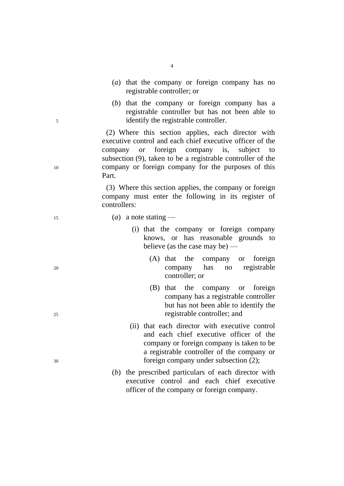- (*a*) that the company or foreign company has no registrable controller; or
- (*b*) that the company or foreign company has a registrable controller but has not been able to <sup>5</sup> identify the registrable controller.

(2) Where this section applies, each director with executive control and each chief executive officer of the company or foreign company is, subject to subsection (9), taken to be a registrable controller of the <sup>10</sup> company or foreign company for the purposes of this Part.

> (3) Where this section applies, the company or foreign company must enter the following in its register of controllers:

#### <sup>15</sup> (*a*) a note stating —

- (i) that the company or foreign company knows, or has reasonable grounds to believe (as the case may be) —
- (A) that the company or foreign <sup>20</sup> company has no registrable controller; or
- (B) that the company or foreign company has a registrable controller but has not been able to identify the <sup>25</sup> registrable controller; and
- (ii) that each director with executive control and each chief executive officer of the company or foreign company is taken to be a registrable controller of the company or <sup>30</sup> foreign company under subsection (2);
	- (*b*) the prescribed particulars of each director with executive control and each chief executive officer of the company or foreign company.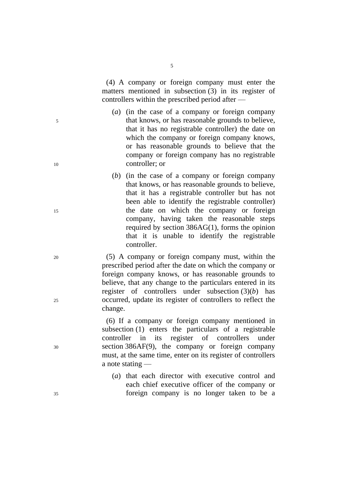(4) A company or foreign company must enter the matters mentioned in subsection (3) in its register of controllers within the prescribed period after —

- (*a*) (in the case of a company or foreign company <sup>5</sup> that knows, or has reasonable grounds to believe, that it has no registrable controller) the date on which the company or foreign company knows, or has reasonable grounds to believe that the company or foreign company has no registrable <sup>10</sup> controller; or
- (*b*) (in the case of a company or foreign company that knows, or has reasonable grounds to believe, that it has a registrable controller but has not been able to identify the registrable controller) <sup>15</sup> the date on which the company or foreign company, having taken the reasonable steps required by section 386AG(1), forms the opinion that it is unable to identify the registrable controller.

<sup>20</sup> (5) A company or foreign company must, within the prescribed period after the date on which the company or foreign company knows, or has reasonable grounds to believe, that any change to the particulars entered in its register of controllers under subsection (3)(*b*) has <sup>25</sup> occurred, update its register of controllers to reflect the change.

(6) If a company or foreign company mentioned in subsection (1) enters the particulars of a registrable controller in its register of controllers under <sup>30</sup> section 386AF(9), the company or foreign company must, at the same time, enter on its register of controllers a note stating —

(*a*) that each director with executive control and each chief executive officer of the company or <sup>35</sup> foreign company is no longer taken to be a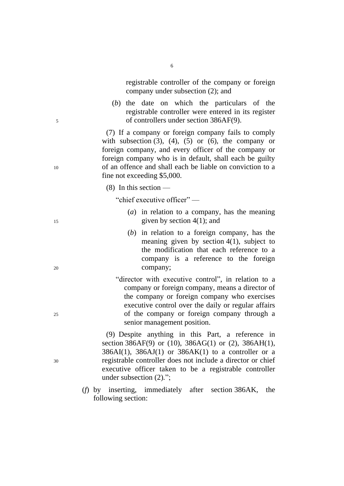registrable controller of the company or foreign company under subsection (2); and

(*b*) the date on which the particulars of the registrable controller were entered in its register <sup>5</sup> of controllers under section 386AF(9).

(7) If a company or foreign company fails to comply with subsection  $(3)$ ,  $(4)$ ,  $(5)$  or  $(6)$ , the company or foreign company, and every officer of the company or foreign company who is in default, shall each be guilty <sup>10</sup> of an offence and shall each be liable on conviction to a fine not exceeding \$5,000.

(8) In this section —

"chief executive officer" —

- (*a*) in relation to a company, has the meaning <sup>15</sup> given by section 4(1); and
- (*b*) in relation to a foreign company, has the meaning given by section 4(1), subject to the modification that each reference to a company is a reference to the foreign <sup>20</sup> company;

"director with executive control", in relation to a company or foreign company, means a director of the company or foreign company who exercises executive control over the daily or regular affairs <sup>25</sup> of the company or foreign company through a senior management position.

(9) Despite anything in this Part, a reference in section 386AF(9) or (10), 386AG(1) or (2), 386AH(1),  $386AI(1)$ ,  $386AI(1)$  or  $386AK(1)$  to a controller or a <sup>30</sup> registrable controller does not include a director or chief executive officer taken to be a registrable controller under subsection (2)*.*";

> (*f*) by inserting, immediately after section 386AK, the following section: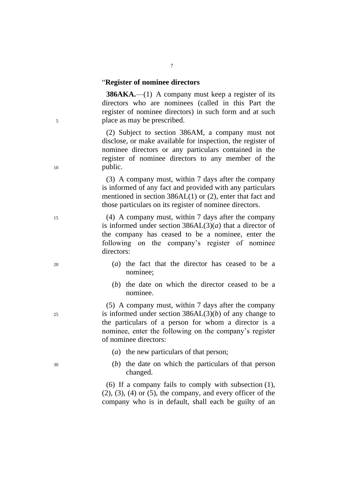#### "**Register of nominee directors**

**386AKA.**—(1) A company must keep a register of its directors who are nominees (called in this Part the register of nominee directors) in such form and at such <sup>5</sup> place as may be prescribed.

(2) Subject to section 386AM, a company must not disclose, or make available for inspection, the register of nominee directors or any particulars contained in the register of nominee directors to any member of the 10 public.

> (3) A company must, within 7 days after the company is informed of any fact and provided with any particulars mentioned in section 386AL(1) or (2), enter that fact and those particulars on its register of nominee directors.

<sup>15</sup> (4) A company must, within 7 days after the company is informed under section  $386AL(3)(a)$  that a director of the company has ceased to be a nominee, enter the following on the company's register of nominee directors:

- <sup>20</sup> (*a*) the fact that the director has ceased to be a nominee;
	- (*b*) the date on which the director ceased to be a nominee.

(5) A company must, within 7 days after the company  $25$  is informed under section  $386AL(3)(b)$  of any change to the particulars of a person for whom a director is a nominee, enter the following on the company's register of nominee directors:

- (*a*) the new particulars of that person;
- <sup>30</sup> (*b*) the date on which the particulars of that person changed.

(6) If a company fails to comply with subsection (1),  $(2)$ ,  $(3)$ ,  $(4)$  or  $(5)$ , the company, and every officer of the company who is in default, shall each be guilty of an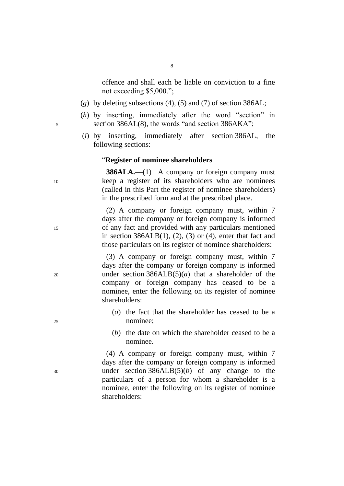8

offence and shall each be liable on conviction to a fine not exceeding \$5,000.";

- (*g*) by deleting subsections (4), (5) and (7) of section 386AL;
- (*h*) by inserting, immediately after the word "section" in <sup>5</sup> section 386AL(8), the words "and section 386AKA";
	- (*i*) by inserting, immediately after section 386AL, the following sections:

#### "**Register of nominee shareholders**

**386ALA.**—(1) A company or foreign company must <sup>10</sup> keep a register of its shareholders who are nominees (called in this Part the register of nominee shareholders) in the prescribed form and at the prescribed place.

(2) A company or foreign company must, within 7 days after the company or foreign company is informed <sup>15</sup> of any fact and provided with any particulars mentioned in section  $386ALB(1)$ ,  $(2)$ ,  $(3)$  or  $(4)$ , enter that fact and those particulars on its register of nominee shareholders:

(3) A company or foreign company must, within 7 days after the company or foreign company is informed <sup>20</sup> under section 386ALB(5)(*a*) that a shareholder of the company or foreign company has ceased to be a nominee, enter the following on its register of nominee shareholders:

- (*a*) the fact that the shareholder has ceased to be a <sup>25</sup> nominee;
	- (*b*) the date on which the shareholder ceased to be a nominee.

(4) A company or foreign company must, within 7 days after the company or foreign company is informed <sup>30</sup> under section 386ALB(5)(*b*) of any change to the particulars of a person for whom a shareholder is a nominee, enter the following on its register of nominee shareholders: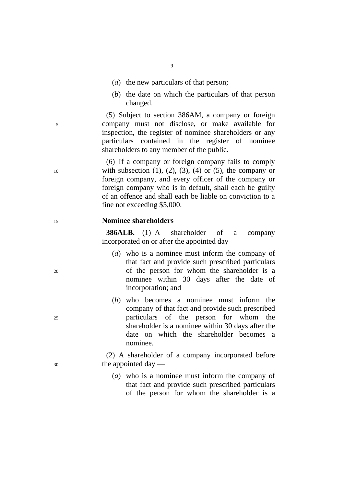- (*a*) the new particulars of that person;
- (*b*) the date on which the particulars of that person changed.

(5) Subject to section 386AM, a company or foreign <sup>5</sup> company must not disclose, or make available for inspection, the register of nominee shareholders or any particulars contained in the register of nominee shareholders to any member of the public.

(6) If a company or foreign company fails to comply 10 with subsection  $(1)$ ,  $(2)$ ,  $(3)$ ,  $(4)$  or  $(5)$ , the company or foreign company, and every officer of the company or foreign company who is in default, shall each be guilty of an offence and shall each be liable on conviction to a fine not exceeding \$5,000.

## <sup>15</sup> **Nominee shareholders**

**386ALB.**—(1) A shareholder of a company incorporated on or after the appointed day —

- (*a*) who is a nominee must inform the company of that fact and provide such prescribed particulars <sup>20</sup> of the person for whom the shareholder is a nominee within 30 days after the date of incorporation; and
- (*b*) who becomes a nominee must inform the company of that fact and provide such prescribed <sup>25</sup> particulars of the person for whom the shareholder is a nominee within 30 days after the date on which the shareholder becomes a nominee.

(2) A shareholder of a company incorporated before <sup>30</sup> the appointed day —

> (*a*) who is a nominee must inform the company of that fact and provide such prescribed particulars of the person for whom the shareholder is a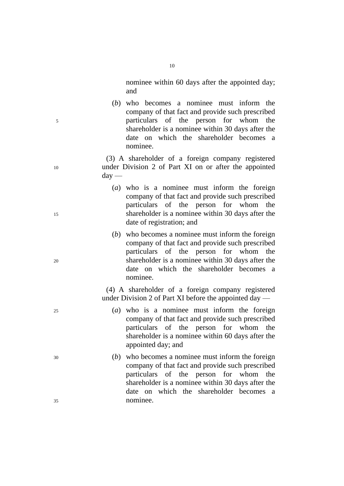nominee within 60 days after the appointed day; and

(*b*) who becomes a nominee must inform the company of that fact and provide such prescribed <sup>5</sup> particulars of the person for whom the shareholder is a nominee within 30 days after the date on which the shareholder becomes a nominee.

(3) A shareholder of a foreign company registered <sup>10</sup> under Division 2 of Part XI on or after the appointed  $d$ av —

- (*a*) who is a nominee must inform the foreign company of that fact and provide such prescribed particulars of the person for whom the <sup>15</sup> shareholder is a nominee within 30 days after the date of registration; and
- (*b*) who becomes a nominee must inform the foreign company of that fact and provide such prescribed particulars of the person for whom the <sup>20</sup> shareholder is a nominee within 30 days after the date on which the shareholder becomes a nominee.

(4) A shareholder of a foreign company registered under Division 2 of Part XI before the appointed day —

- <sup>25</sup> (*a*) who is a nominee must inform the foreign company of that fact and provide such prescribed particulars of the person for whom the shareholder is a nominee within 60 days after the appointed day; and
- <sup>30</sup> (*b*) who becomes a nominee must inform the foreign company of that fact and provide such prescribed particulars of the person for whom the shareholder is a nominee within 30 days after the date on which the shareholder becomes a <sup>35</sup> nominee.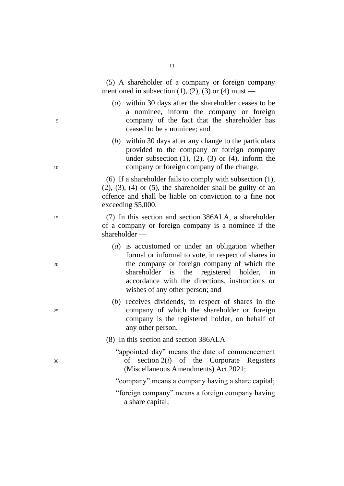(5) A shareholder of a company or foreign company mentioned in subsection  $(1)$ ,  $(2)$ ,  $(3)$  or  $(4)$  must —

- (*a*) within 30 days after the shareholder ceases to be a nominee, inform the company or foreign <sup>5</sup> company of the fact that the shareholder has ceased to be a nominee; and
- (*b*) within 30 days after any change to the particulars provided to the company or foreign company under subsection  $(1)$ ,  $(2)$ ,  $(3)$  or  $(4)$ , inform the <sup>10</sup> company or foreign company of the change.

(6) If a shareholder fails to comply with subsection (1),  $(2)$ ,  $(3)$ ,  $(4)$  or  $(5)$ , the shareholder shall be guilty of an offence and shall be liable on conviction to a fine not exceeding \$5,000.

<sup>15</sup> (7) In this section and section 386ALA, a shareholder of a company or foreign company is a nominee if the shareholder —

- (*a*) is accustomed or under an obligation whether formal or informal to vote, in respect of shares in <sup>20</sup> the company or foreign company of which the shareholder is the registered holder, in accordance with the directions, instructions or wishes of any other person; and
- (*b*) receives dividends, in respect of shares in the <sup>25</sup> company of which the shareholder or foreign company is the registered holder, on behalf of any other person.
	- (8) In this section and section  $386ALA$  —
- "appointed day" means the date of commencement <sup>30</sup> of section 2(*i*) of the Corporate Registers (Miscellaneous Amendments) Act 2021;
	- "company" means a company having a share capital;
	- "foreign company" means a foreign company having a share capital;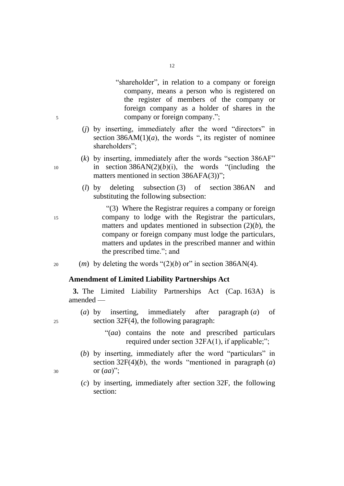- "shareholder", in relation to a company or foreign company, means a person who is registered on the register of members of the company or foreign company as a holder of shares in the <sup>5</sup> company or foreign company.";
	- (*j*) by inserting, immediately after the word "directors" in section  $386AM(1)(a)$ , the words ", its register of nominee shareholders";
- (*k*) by inserting, immediately after the words "section 386AF" 10 in section  $386AN(2)(b)(i)$ , the words "(including the matters mentioned in section 386AFA(3))":
	- (*l*) by deleting subsection (3) of section 386AN and substituting the following subsection:

"(3) Where the Registrar requires a company or foreign <sup>15</sup> company to lodge with the Registrar the particulars, matters and updates mentioned in subsection  $(2)(b)$ , the company or foreign company must lodge the particulars, matters and updates in the prescribed manner and within the prescribed time."; and

20 (*m*) by deleting the words " $(2)(b)$  or" in section 386AN(4).

## **Amendment of Limited Liability Partnerships Act**

**3.** The Limited Liability Partnerships Act (Cap. 163A) is amended —

- (*a*) by inserting, immediately after paragraph (*a*) of  $25$  section 32F(4), the following paragraph:
	- "(*aa*) contains the note and prescribed particulars required under section 32FA(1), if applicable;";
- (*b*) by inserting, immediately after the word "particulars" in section 32F(4)(*b*), the words "mentioned in paragraph (*a*) <sup>30</sup> or (*aa*)";
	- (*c*) by inserting, immediately after section 32F, the following section: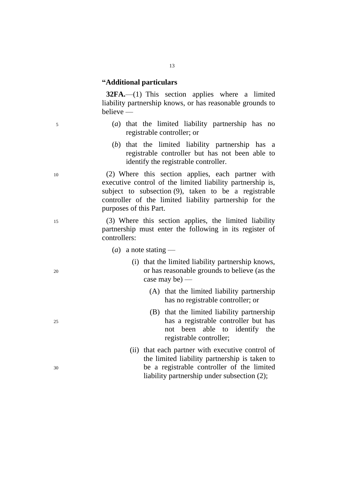## **"Additional particulars**

**32FA.**—(1) This section applies where a limited liability partnership knows, or has reasonable grounds to believe —

- <sup>5</sup> (*a*) that the limited liability partnership has no registrable controller; or
	- (*b*) that the limited liability partnership has a registrable controller but has not been able to identify the registrable controller.

<sup>10</sup> (2) Where this section applies, each partner with executive control of the limited liability partnership is, subject to subsection (9), taken to be a registrable controller of the limited liability partnership for the purposes of this Part.

- <sup>15</sup> (3) Where this section applies, the limited liability partnership must enter the following in its register of controllers:
	- (*a*) a note stating —
- (i) that the limited liability partnership knows, <sup>20</sup> or has reasonable grounds to believe (as the case may be) —
	- (A) that the limited liability partnership has no registrable controller; or
- (B) that the limited liability partnership <sup>25</sup> has a registrable controller but has not been able to identify the registrable controller;
- (ii) that each partner with executive control of the limited liability partnership is taken to <sup>30</sup> be a registrable controller of the limited liability partnership under subsection (2);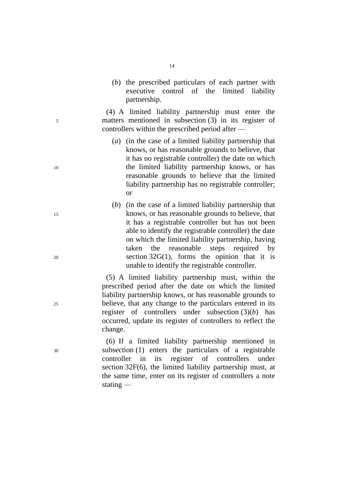(*b*) the prescribed particulars of each partner with executive control of the limited liability partnership.

(4) A limited liability partnership must enter the <sup>5</sup> matters mentioned in subsection (3) in its register of controllers within the prescribed period after —

- (*a*) (in the case of a limited liability partnership that knows, or has reasonable grounds to believe, that it has no registrable controller) the date on which <sup>10</sup> the limited liability partnership knows, or has reasonable grounds to believe that the limited liability partnership has no registrable controller; or
- (*b*) (in the case of a limited liability partnership that <sup>15</sup> knows, or has reasonable grounds to believe, that it has a registrable controller but has not been able to identify the registrable controller) the date on which the limited liability partnership, having taken the reasonable steps required by  $20$  section 32G(1), forms the opinion that it is unable to identify the registrable controller.

(5) A limited liability partnership must, within the prescribed period after the date on which the limited liability partnership knows, or has reasonable grounds to <sup>25</sup> believe, that any change to the particulars entered in its register of controllers under subsection (3)(*b*) has occurred, update its register of controllers to reflect the change.

(6) If a limited liability partnership mentioned in <sup>30</sup> subsection (1) enters the particulars of a registrable controller in its register of controllers under section 32F(6), the limited liability partnership must, at the same time, enter on its register of controllers a note stating —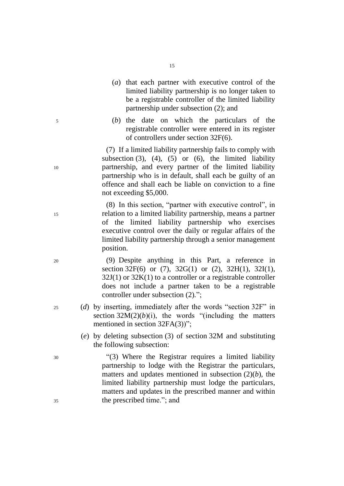- (*a*) that each partner with executive control of the limited liability partnership is no longer taken to be a registrable controller of the limited liability partnership under subsection (2); and
- <sup>5</sup> (*b*) the date on which the particulars of the registrable controller were entered in its register of controllers under section 32F(6).

(7) If a limited liability partnership fails to comply with subsection  $(3)$ ,  $(4)$ ,  $(5)$  or  $(6)$ , the limited liability <sup>10</sup> partnership, and every partner of the limited liability partnership who is in default, shall each be guilty of an offence and shall each be liable on conviction to a fine not exceeding \$5,000.

(8) In this section, "partner with executive control", in <sup>15</sup> relation to a limited liability partnership, means a partner of the limited liability partnership who exercises executive control over the daily or regular affairs of the limited liability partnership through a senior management position.

<sup>20</sup> (9) Despite anything in this Part, a reference in section 32F(6) or (7),  $32G(1)$  or (2),  $32H(1)$ ,  $32I(1)$ ,  $32J(1)$  or  $32K(1)$  to a controller or a registrable controller does not include a partner taken to be a registrable controller under subsection (2)*.*";

- <sup>25</sup> (*d*) by inserting, immediately after the words "section 32F" in section  $32M(2)(b)(i)$ , the words "(including the matters mentioned in section 32FA(3))";
	- (*e*) by deleting subsection (3) of section 32M and substituting the following subsection:

<sup>30</sup> "(3) Where the Registrar requires a limited liability partnership to lodge with the Registrar the particulars, matters and updates mentioned in subsection (2)(*b*), the limited liability partnership must lodge the particulars, matters and updates in the prescribed manner and within <sup>35</sup> the prescribed time."; and